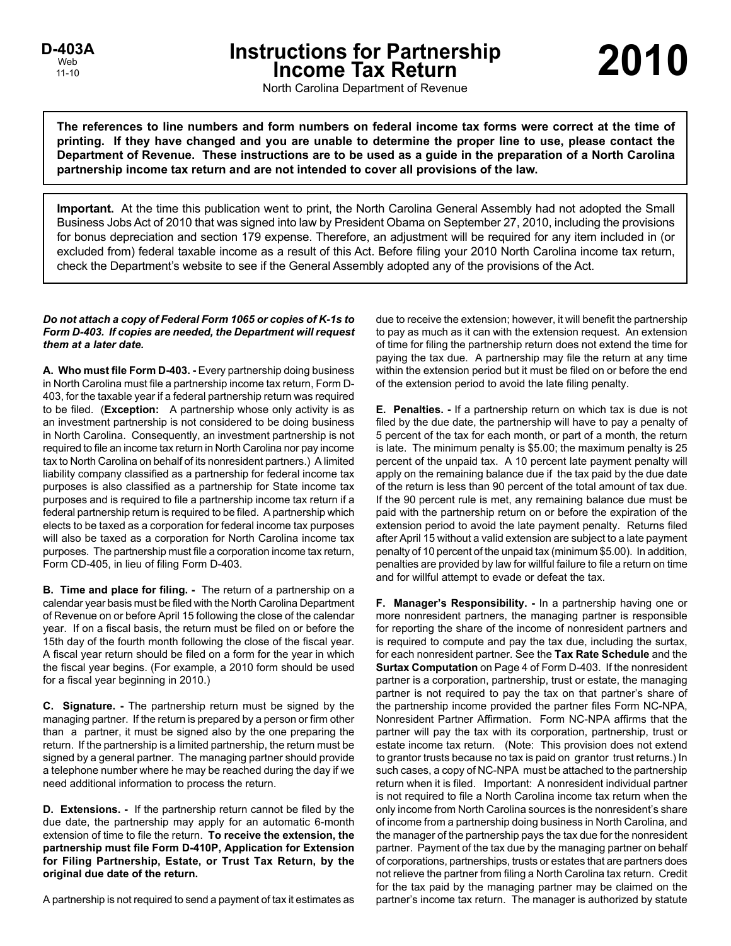# **Instructions for Partnership Income Tax Return**

North Carolina Department of Revenue

**The references to line numbers and form numbers on federal income tax forms were correct at the time of printing. If they have changed and you are unable to determine the proper line to use, please contact the Department of Revenue. These instructions are to be used as a guide in the preparation of a North Carolina partnership income tax return and are not intended to cover all provisions of the law.**

**Important.** At the time this publication went to print, the North Carolina General Assembly had not adopted the Small Business Jobs Act of 2010 that was signed into law by President Obama on September 27, 2010, including the provisions for bonus depreciation and section 179 expense. Therefore, an adjustment will be required for any item included in (or excluded from) federal taxable income as a result of this Act. Before filing your 2010 North Carolina income tax return, check the Department's website to see if the General Assembly adopted any of the provisions of the Act.

# *Do not attach a copy of Federal Form 1065 or copies of K-1s to Form D-403. If copies are needed, the Department will request them at a later date.*

**A. Who must file Form D-403. -** Every partnership doing business in North Carolina must file a partnership income tax return, Form D-403, for the taxable year if a federal partnership return was required to be filed. (**Exception:** A partnership whose only activity is as an investment partnership is not considered to be doing business in North Carolina. Consequently, an investment partnership is not required to file an income tax return in North Carolina nor pay income tax to North Carolina on behalf of its nonresident partners.) A limited liability company classified as a partnership for federal income tax purposes is also classified as a partnership for State income tax purposes and is required to file a partnership income tax return if a federal partnership return is required to be filed. A partnership which elects to be taxed as a corporation for federal income tax purposes will also be taxed as a corporation for North Carolina income tax purposes. The partnership must file a corporation income tax return, Form CD-405, in lieu of filing Form D-403.

**B. Time and place for filing. -** The return of a partnership on a calendar year basis must be filed with the North Carolina Department of Revenue on or before April 15 following the close of the calendar year. If on a fiscal basis, the return must be filed on or before the 15th day of the fourth month following the close of the fiscal year. A fiscal year return should be filed on a form for the year in which the fiscal year begins. (For example, a 2010 form should be used for a fiscal year beginning in 2010.)

**C. Signature. -** The partnership return must be signed by the managing partner. If the return is prepared by a person or firm other than a partner, it must be signed also by the one preparing the return. If the partnership is a limited partnership, the return must be signed by a general partner. The managing partner should provide a telephone number where he may be reached during the day if we need additional information to process the return.

**D. Extensions. -** If the partnership return cannot be filed by the due date, the partnership may apply for an automatic 6-month extension of time to file the return. **To receive the extension, the partnership must file Form D-410P, Application for Extension for Filing Partnership, Estate, or Trust Tax Return, by the original due date of the return.**

A partnership is not required to send a payment of tax it estimates as

due to receive the extension; however, it will benefit the partnership to pay as much as it can with the extension request. An extension of time for filing the partnership return does not extend the time for paying the tax due. A partnership may file the return at any time within the extension period but it must be filed on or before the end of the extension period to avoid the late filing penalty.

**E. Penalties. -** If a partnership return on which tax is due is not filed by the due date, the partnership will have to pay a penalty of 5 percent of the tax for each month, or part of a month, the return is late. The minimum penalty is \$5.00; the maximum penalty is 25 percent of the unpaid tax. A 10 percent late payment penalty will apply on the remaining balance due if the tax paid by the due date of the return is less than 90 percent of the total amount of tax due. If the 90 percent rule is met, any remaining balance due must be paid with the partnership return on or before the expiration of the extension period to avoid the late payment penalty. Returns filed after April 15 without a valid extension are subject to a late payment penalty of 10 percent of the unpaid tax (minimum \$5.00). In addition, penalties are provided by law for willful failure to file a return on time and for willful attempt to evade or defeat the tax.

**F. Manager's Responsibility. -** In a partnership having one or more nonresident partners, the managing partner is responsible for reporting the share of the income of nonresident partners and is required to compute and pay the tax due, including the surtax, for each nonresident partner. See the **Tax Rate Schedule** and the **Surtax Computation** on Page 4 of Form D-403. If the nonresident partner is a corporation, partnership, trust or estate, the managing partner is not required to pay the tax on that partner's share of the partnership income provided the partner files Form NC-NPA, Nonresident Partner Affirmation. Form NC-NPA affirms that the partner will pay the tax with its corporation, partnership, trust or estate income tax return. (Note: This provision does not extend to grantor trusts because no tax is paid on grantor trust returns.) In such cases, a copy of NC-NPA must be attached to the partnership return when it is filed. Important: A nonresident individual partner is not required to file a North Carolina income tax return when the only income from North Carolina sources is the nonresident's share of income from a partnership doing business in North Carolina, and the manager of the partnership pays the tax due for the nonresident partner. Payment of the tax due by the managing partner on behalf of corporations, partnerships, trusts or estates that are partners does not relieve the partner from filing a North Carolina tax return. Credit for the tax paid by the managing partner may be claimed on the partner's income tax return. The manager is authorized by statute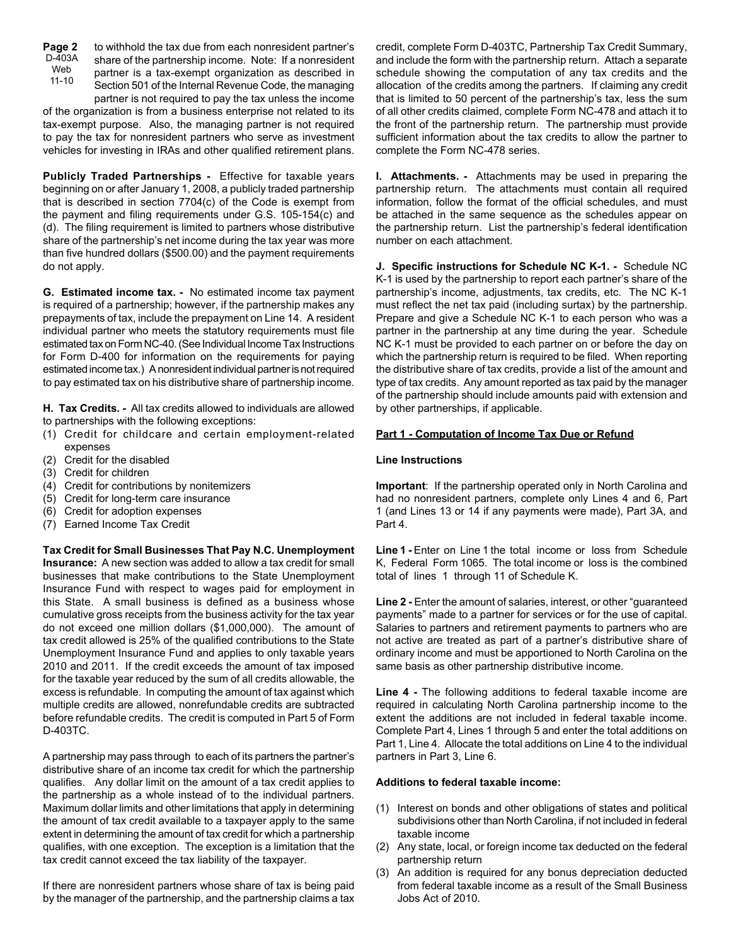to withhold the tax due from each nonresident partner's share of the partnership income. Note: If a nonresident partner is a tax-exempt organization as described in Section 501 of the Internal Revenue Code, the managing partner is not required to pay the tax unless the income **Page 2**  $D - 403A$ Web 11-10

of the organization is from a business enterprise not related to its tax-exempt purpose. Also, the managing partner is not required to pay the tax for nonresident partners who serve as investment vehicles for investing in IRAs and other qualified retirement plans.

**Publicly Traded Partnerships -** Effective for taxable years beginning on or after January 1, 2008, a publicly traded partnership that is described in section 7704(c) of the Code is exempt from the payment and filing requirements under G.S. 105-154(c) and (d). The filing requirement is limited to partners whose distributive share of the partnership's net income during the tax year was more than five hundred dollars (\$500.00) and the payment requirements do not apply.

**G. Estimated income tax. -** No estimated income tax payment is required of a partnership; however, if the partnership makes any prepayments of tax, include the prepayment on Line 14. A resident individual partner who meets the statutory requirements must file estimated tax on Form NC-40. (See Individual Income Tax Instructions for Form D-400 for information on the requirements for paying estimated income tax.) A nonresident individual partner is not required to pay estimated tax on his distributive share of partnership income.

**H. Tax Credits. -** All tax credits allowed to individuals are allowed to partnerships with the following exceptions:

- (1) Credit for childcare and certain employment-related expenses
- (2) Credit for the disabled
- (3) Credit for children
- (4) Credit for contributions by nonitemizers
- (5) Credit for long-term care insurance
- (6) Credit for adoption expenses
- (7) Earned Income Tax Credit

**Tax Credit for Small Businesses That Pay N.C. Unemployment Insurance:** A new section was added to allow a tax credit for small businesses that make contributions to the State Unemployment Insurance Fund with respect to wages paid for employment in this State. A small business is defined as a business whose cumulative gross receipts from the business activity for the tax year do not exceed one million dollars (\$1,000,000). The amount of tax credit allowed is 25% of the qualified contributions to the State Unemployment Insurance Fund and applies to only taxable years 2010 and 2011. If the credit exceeds the amount of tax imposed for the taxable year reduced by the sum of all credits allowable, the excess is refundable. In computing the amount of tax against which multiple credits are allowed, nonrefundable credits are subtracted before refundable credits. The credit is computed in Part 5 of Form D-403TC.

A partnership may pass through to each of its partners the partner's distributive share of an income tax credit for which the partnership qualifies. Any dollar limit on the amount of a tax credit applies to the partnership as a whole instead of to the individual partners. Maximum dollar limits and other limitations that apply in determining the amount of tax credit available to a taxpayer apply to the same extent in determining the amount of tax credit for which a partnership qualifies, with one exception. The exception is a limitation that the tax credit cannot exceed the tax liability of the taxpayer.

If there are nonresident partners whose share of tax is being paid by the manager of the partnership, and the partnership claims a tax credit, complete Form D-403TC, Partnership Tax Credit Summary, and include the form with the partnership return. Attach a separate schedule showing the computation of any tax credits and the allocation of the credits among the partners. If claiming any credit that is limited to 50 percent of the partnership's tax, less the sum of all other credits claimed, complete Form NC-478 and attach it to the front of the partnership return. The partnership must provide sufficient information about the tax credits to allow the partner to complete the Form NC-478 series.

**I. Attachments. -** Attachments may be used in preparing the partnership return. The attachments must contain all required information, follow the format of the official schedules, and must be attached in the same sequence as the schedules appear on the partnership return. List the partnership's federal identification number on each attachment.

**J. Specific instructions for Schedule NC K-1. -** Schedule NC K-1 is used by the partnership to report each partner's share of the partnership's income, adjustments, tax credits, etc. The NC K-1 must reflect the net tax paid (including surtax) by the partnership. Prepare and give a Schedule NC K-1 to each person who was a partner in the partnership at any time during the year. Schedule NC K-1 must be provided to each partner on or before the day on which the partnership return is required to be filed. When reporting the distributive share of tax credits, provide a list of the amount and type of tax credits. Any amount reported as tax paid by the manager of the partnership should include amounts paid with extension and by other partnerships, if applicable.

## **Part 1 - Computation of Income Tax Due or Refund**

#### **Line Instructions**

**Important**: If the partnership operated only in North Carolina and had no nonresident partners, complete only Lines 4 and 6, Part 1 (and Lines 13 or 14 if any payments were made), Part 3A, and Part 4.

**Line 1 -** Enter on Line 1 the total income or loss from Schedule K, Federal Form 1065. The total income or loss is the combined total of lines 1 through 11 of Schedule K.

Line 2 - Enter the amount of salaries, interest, or other "guaranteed" payments" made to a partner for services or for the use of capital. Salaries to partners and retirement payments to partners who are not active are treated as part of a partner's distributive share of ordinary income and must be apportioned to North Carolina on the same basis as other partnership distributive income.

**Line 4 -** The following additions to federal taxable income are required in calculating North Carolina partnership income to the extent the additions are not included in federal taxable income. Complete Part 4, Lines 1 through 5 and enter the total additions on Part 1, Line 4. Allocate the total additions on Line 4 to the individual partners in Part 3, Line 6.

### **Additions to federal taxable income:**

- (1) Interest on bonds and other obligations of states and political subdivisions other than North Carolina, if not included in federal taxable income
- (2) Any state, local, or foreign income tax deducted on the federal partnership return
- (3) An addition is required for any bonus depreciation deducted from federal taxable income as a result of the Small Business Jobs Act of 2010.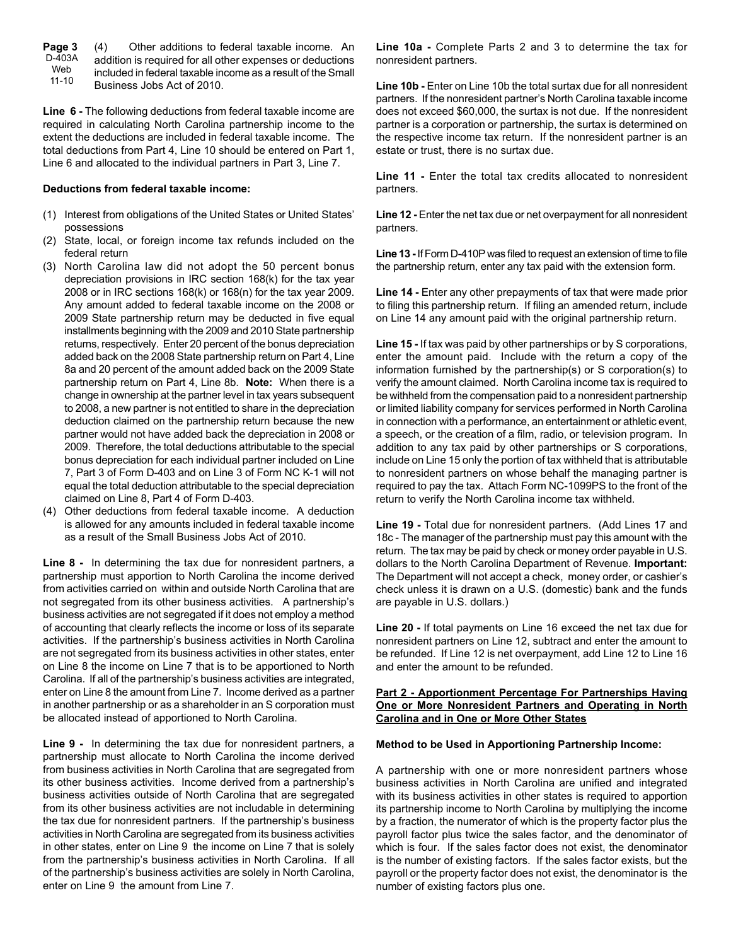| Page 3    | Other additions to federal taxable income. An<br>(4)        |
|-----------|-------------------------------------------------------------|
| D-403A    | addition is required for all other expenses or deductions   |
| Web       | included in federal taxable income as a result of the Small |
| $11 - 10$ | Business Jobs Act of 2010.                                  |

**Line 6 -** The following deductions from federal taxable income are required in calculating North Carolina partnership income to the extent the deductions are included in federal taxable income. The total deductions from Part 4, Line 10 should be entered on Part 1, Line 6 and allocated to the individual partners in Part 3, Line 7.

#### **Deductions from federal taxable income:**

- (1) Interest from obligations of the United States or United States' possessions
- (2) State, local, or foreign income tax refunds included on the federal return
- (3) North Carolina law did not adopt the 50 percent bonus depreciation provisions in IRC section 168(k) for the tax year 2008 or in IRC sections 168(k) or 168(n) for the tax year 2009. Any amount added to federal taxable income on the 2008 or 2009 State partnership return may be deducted in five equal installments beginning with the 2009 and 2010 State partnership returns, respectively. Enter 20 percent of the bonus depreciation added back on the 2008 State partnership return on Part 4, Line 8a and 20 percent of the amount added back on the 2009 State partnership return on Part 4, Line 8b. **Note:** When there is a change in ownership at the partner level in tax years subsequent to 2008, a new partner is not entitled to share in the depreciation deduction claimed on the partnership return because the new partner would not have added back the depreciation in 2008 or 2009. Therefore, the total deductions attributable to the special bonus depreciation for each individual partner included on Line 7, Part 3 of Form D-403 and on Line 3 of Form NC K-1 will not equal the total deduction attributable to the special depreciation claimed on Line 8, Part 4 of Form D-403.
- (4) Other deductions from federal taxable income. A deduction is allowed for any amounts included in federal taxable income as a result of the Small Business Jobs Act of 2010.

**Line 8 -** In determining the tax due for nonresident partners, a partnership must apportion to North Carolina the income derived from activities carried on within and outside North Carolina that are not segregated from its other business activities. A partnership's business activities are not segregated if it does not employ a method of accounting that clearly reflects the income or loss of its separate activities. If the partnership's business activities in North Carolina are not segregated from its business activities in other states, enter on Line 8 the income on Line 7 that is to be apportioned to North Carolina. If all of the partnership's business activities are integrated, enter on Line 8 the amount from Line 7. Income derived as a partner in another partnership or as a shareholder in an S corporation must be allocated instead of apportioned to North Carolina.

**Line 9 -** In determining the tax due for nonresident partners, a partnership must allocate to North Carolina the income derived from business activities in North Carolina that are segregated from its other business activities. Income derived from a partnership's business activities outside of North Carolina that are segregated from its other business activities are not includable in determining the tax due for nonresident partners. If the partnership's business activities in North Carolina are segregated from its business activities in other states, enter on Line 9 the income on Line 7 that is solely from the partnership's business activities in North Carolina. If all of the partnership's business activities are solely in North Carolina, enter on Line 9 the amount from Line 7.

**Line 10a -** Complete Parts 2 and 3 to determine the tax for nonresident partners.

**Line 10b -** Enter on Line 10b the total surtax due for all nonresident partners. If the nonresident partner's North Carolina taxable income does not exceed \$60,000, the surtax is not due. If the nonresident partner is a corporation or partnership, the surtax is determined on the respective income tax return. If the nonresident partner is an estate or trust, there is no surtax due.

**Line 11 -** Enter the total tax credits allocated to nonresident partners.

**Line 12 -** Enter the net tax due or net overpayment for all nonresident partners.

**Line 13 -** If Form D-410P was filed to request an extension of time to file the partnership return, enter any tax paid with the extension form.

**Line 14 -** Enter any other prepayments of tax that were made prior to filing this partnership return. If filing an amended return, include on Line 14 any amount paid with the original partnership return.

**Line 15 -** If tax was paid by other partnerships or by S corporations, enter the amount paid. Include with the return a copy of the information furnished by the partnership(s) or S corporation(s) to verify the amount claimed. North Carolina income tax is required to be withheld from the compensation paid to a nonresident partnership or limited liability company for services performed in North Carolina in connection with a performance, an entertainment or athletic event, a speech, or the creation of a film, radio, or television program. In addition to any tax paid by other partnerships or S corporations, include on Line 15 only the portion of tax withheld that is attributable to nonresident partners on whose behalf the managing partner is required to pay the tax. Attach Form NC-1099PS to the front of the return to verify the North Carolina income tax withheld.

**Line 19 -** Total due for nonresident partners. (Add Lines 17 and 18c - The manager of the partnership must pay this amount with the return. The tax may be paid by check or money order payable in U.S. dollars to the North Carolina Department of Revenue. **Important:** The Department will not accept a check, money order, or cashier's check unless it is drawn on a U.S. (domestic) bank and the funds are payable in U.S. dollars.)

**Line 20 -** If total payments on Line 16 exceed the net tax due for nonresident partners on Line 12, subtract and enter the amount to be refunded. If Line 12 is net overpayment, add Line 12 to Line 16 and enter the amount to be refunded.

## **Part 2 - Apportionment Percentage For Partnerships Having One or More Nonresident Partners and Operating in North Carolina and in One or More Other States**

#### **Method to be Used in Apportioning Partnership Income:**

A partnership with one or more nonresident partners whose business activities in North Carolina are unified and integrated with its business activities in other states is required to apportion its partnership income to North Carolina by multiplying the income by a fraction, the numerator of which is the property factor plus the payroll factor plus twice the sales factor, and the denominator of which is four. If the sales factor does not exist, the denominator is the number of existing factors. If the sales factor exists, but the payroll or the property factor does not exist, the denominator is the number of existing factors plus one.